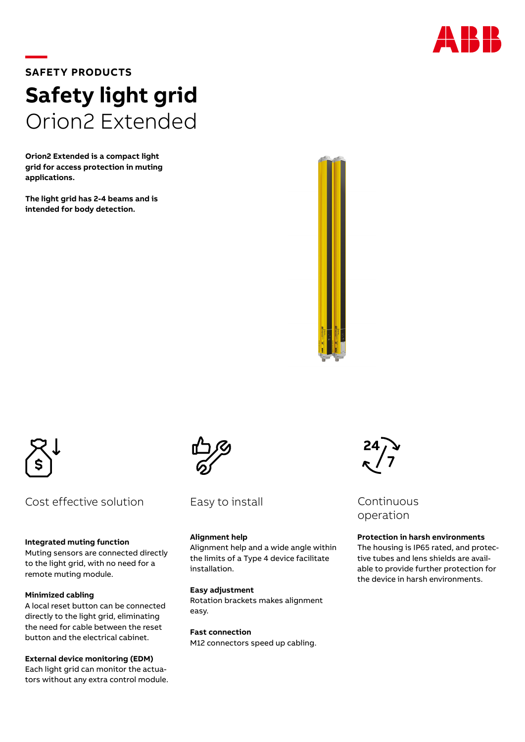

# **—SAFETY PRODUCTS Safety light grid** Orion2 Extended

**Orion2 Extended is a compact light grid for access protection in muting applications.**

**The light grid has 2-4 beams and is intended for body detection.**





## Cost effective solution

#### **Integrated muting function**

Muting sensors are connected directly to the light grid, with no need for a remote muting module.

#### **Minimized cabling**

A local reset button can be connected directly to the light grid, eliminating the need for cable between the reset button and the electrical cabinet.

## **External device monitoring (EDM)**

Each light grid can monitor the actuators without any extra control module.



Easy to install

## **Alignment help**

Alignment help and a wide angle within the limits of a Type 4 device facilitate installation.

#### **Easy adjustment**

Rotation brackets makes alignment easy.

#### **Fast connection**

M12 connectors speed up cabling.



Continuous operation

## **Protection in harsh environments**

The housing is IP65 rated, and protective tubes and lens shields are available to provide further protection for the device in harsh environments.